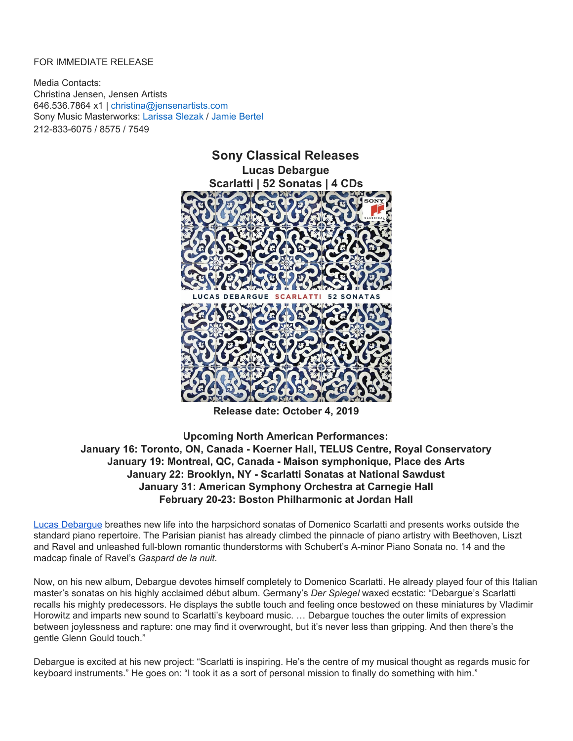## FOR IMMEDIATE RELEASE

Media Contacts: Christina Jensen, Jensen Artists 646.536.7864 x1 | christina@jensenartists.com Sony Music Masterworks: Larissa Slezak / Jamie Bertel 212-833-6075 / 8575 / 7549



**Release date: October 4, 2019**

**Upcoming North American Performances: January 16: Toronto, ON, Canada - Koerner Hall, TELUS Centre, Royal Conservatory January 19: Montreal, QC, Canada - Maison symphonique, Place des Arts January 22: Brooklyn, NY - Scarlatti Sonatas at National Sawdust January 31: American Symphony Orchestra at Carnegie Hall February 20-23: Boston Philharmonic at Jordan Hall**

Lucas [Debargue](https://u7061146.ct.sendgrid.net/wf/click?upn=G62jSYfZdO-2F12d8lSllQB6X7QToq4oUt0DJ9T32jtQvJwgKPzKA5DFv-2FThDeGMnGgdBZwubMoiFdl2CVMjEmPD5eSSzRnu5ul-2FG-2FXF4-2BFhY-3D_DruDjhchMBr5xQkz3h1qcOnjZc-2BCsAVhraQ7DxYhbA2-2BHLQf-2BHKWaWi2FTM7QHo-2Fd7eCMDRMAhfd2mcWSs-2FpzNW9MmuPwV7rH-2FbDd7DdSSbXIAyFu8yPHPEJJtKD-2F4qu0SzhQYPsh-2FQMLWIivLzbr2yMrIq020W82P6cSRQXLkefp1UoP-2BjOBukD2p6YKQvzEjGADB3yN-2Fl5pG6a-2BAqhkTRVY7RSKY35enA1PvHsiH6QcG3wGwvcat0tYrKoEUNLVBEaBcnQ-2BOJJBBJmY4cxRjm1jMfkzGh2fPhW0eC7D1YTqbWedOgKWnUazxgLYOgHJjEvTAWo9TgV-2FqfyNHgJdJbsM6E2QxJl0nsH5tuSML4-3D) breathes new life into the harpsichord sonatas of Domenico Scarlatti and presents works outside the standard piano repertoire. The Parisian pianist has already climbed the pinnacle of piano artistry with Beethoven, Liszt and Ravel and unleashed full-blown romantic thunderstorms with Schubert's A-minor Piano Sonata no. 14 and the madcap finale of Ravel's *Gaspard de la nuit*.

Now, on his new album, Debargue devotes himself completely to Domenico Scarlatti. He already played four of this Italian master's sonatas on his highly acclaimed début album. Germany's *Der Spiegel* waxed ecstatic: "Debargue's Scarlatti recalls his mighty predecessors. He displays the subtle touch and feeling once bestowed on these miniatures by Vladimir Horowitz and imparts new sound to Scarlatti's keyboard music. … Debargue touches the outer limits of expression between joylessness and rapture: one may find it overwrought, but it's never less than gripping. And then there's the gentle Glenn Gould touch."

Debargue is excited at his new project: "Scarlatti is inspiring. He's the centre of my musical thought as regards music for keyboard instruments." He goes on: "I took it as a sort of personal mission to finally do something with him."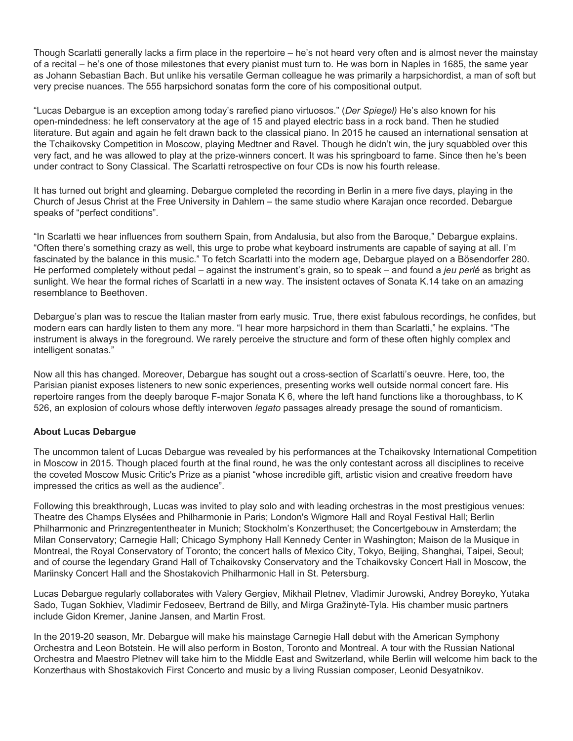Though Scarlatti generally lacks a firm place in the repertoire – he's not heard very often and is almost never the mainstay of a recital – he's one of those milestones that every pianist must turn to. He was born in Naples in 1685, the same year as Johann Sebastian Bach. But unlike his versatile German colleague he was primarily a harpsichordist, a man of soft but very precise nuances. The 555 harpsichord sonatas form the core of his compositional output.

"Lucas Debargue is an exception among today's rarefied piano virtuosos." (*Der Spiegel)* He's also known for his open-mindedness: he left conservatory at the age of 15 and played electric bass in a rock band. Then he studied literature. But again and again he felt drawn back to the classical piano. In 2015 he caused an international sensation at the Tchaikovsky Competition in Moscow, playing Medtner and Ravel. Though he didn't win, the jury squabbled over this very fact, and he was allowed to play at the prize-winners concert. It was his springboard to fame. Since then he's been under contract to Sony Classical. The Scarlatti retrospective on four CDs is now his fourth release.

It has turned out bright and gleaming. Debargue completed the recording in Berlin in a mere five days, playing in the Church of Jesus Christ at the Free University in Dahlem – the same studio where Karajan once recorded. Debargue speaks of "perfect conditions".

"In Scarlatti we hear influences from southern Spain, from Andalusia, but also from the Baroque," Debargue explains. "Often there's something crazy as well, this urge to probe what keyboard instruments are capable of saying at all. I'm fascinated by the balance in this music." To fetch Scarlatti into the modern age, Debargue played on a Bösendorfer 280. He performed completely without pedal – against the instrument's grain, so to speak – and found a *jeu perlé* as bright as sunlight. We hear the formal riches of Scarlatti in a new way. The insistent octaves of Sonata K.14 take on an amazing resemblance to Beethoven.

Debargue's plan was to rescue the Italian master from early music. True, there exist fabulous recordings, he confides, but modern ears can hardly listen to them any more. "I hear more harpsichord in them than Scarlatti," he explains. "The instrument is always in the foreground. We rarely perceive the structure and form of these often highly complex and intelligent sonatas."

Now all this has changed. Moreover, Debargue has sought out a cross-section of Scarlatti's oeuvre. Here, too, the Parisian pianist exposes listeners to new sonic experiences, presenting works well outside normal concert fare. His repertoire ranges from the deeply baroque F-major Sonata K 6, where the left hand functions like a thoroughbass, to K 526, an explosion of colours whose deftly interwoven *legato* passages already presage the sound of romanticism.

## **About Lucas Debargue**

The uncommon talent of Lucas Debargue was revealed by his performances at the Tchaikovsky International Competition in Moscow in 2015. Though placed fourth at the final round, he was the only contestant across all disciplines to receive the coveted Moscow Music Critic's Prize as a pianist "whose incredible gift, artistic vision and creative freedom have impressed the critics as well as the audience".

Following this breakthrough, Lucas was invited to play solo and with leading orchestras in the most prestigious venues: Theatre des Champs Elysées and Philharmonie in Paris; London's Wigmore Hall and Royal Festival Hall; Berlin Philharmonic and Prinzregententheater in Munich; Stockholm's Konzerthuset; the Concertgebouw in Amsterdam; the Milan Conservatory; Carnegie Hall; Chicago Symphony Hall Kennedy Center in Washington; Maison de la Musique in Montreal, the Royal Conservatory of Toronto; the concert halls of Mexico City, Tokyo, Beijing, Shanghai, Taipei, Seoul; and of course the legendary Grand Hall of Tchaikovsky Conservatory and the Tchaikovsky Concert Hall in Moscow, the Mariinsky Concert Hall and the Shostakovich Philharmonic Hall in St. Petersburg.

Lucas Debargue regularly collaborates with Valery Gergiev, Mikhail Pletnev, Vladimir Jurowski, Andrey Boreyko, Yutaka Sado, Tugan Sokhiev, Vladimir Fedoseev, Bertrand de Billy, and Mirga Gražinytė-Tyla. His chamber music partners include Gidon Kremer, Janine Jansen, and Martin Frost.

In the 2019-20 season, Mr. Debargue will make his mainstage Carnegie Hall debut with the American Symphony Orchestra and Leon Botstein. He will also perform in Boston, Toronto and Montreal. A tour with the Russian National Orchestra and Maestro Pletnev will take him to the Middle East and Switzerland, while Berlin will welcome him back to the Konzerthaus with Shostakovich First Concerto and music by a living Russian composer, Leonid Desyatnikov.